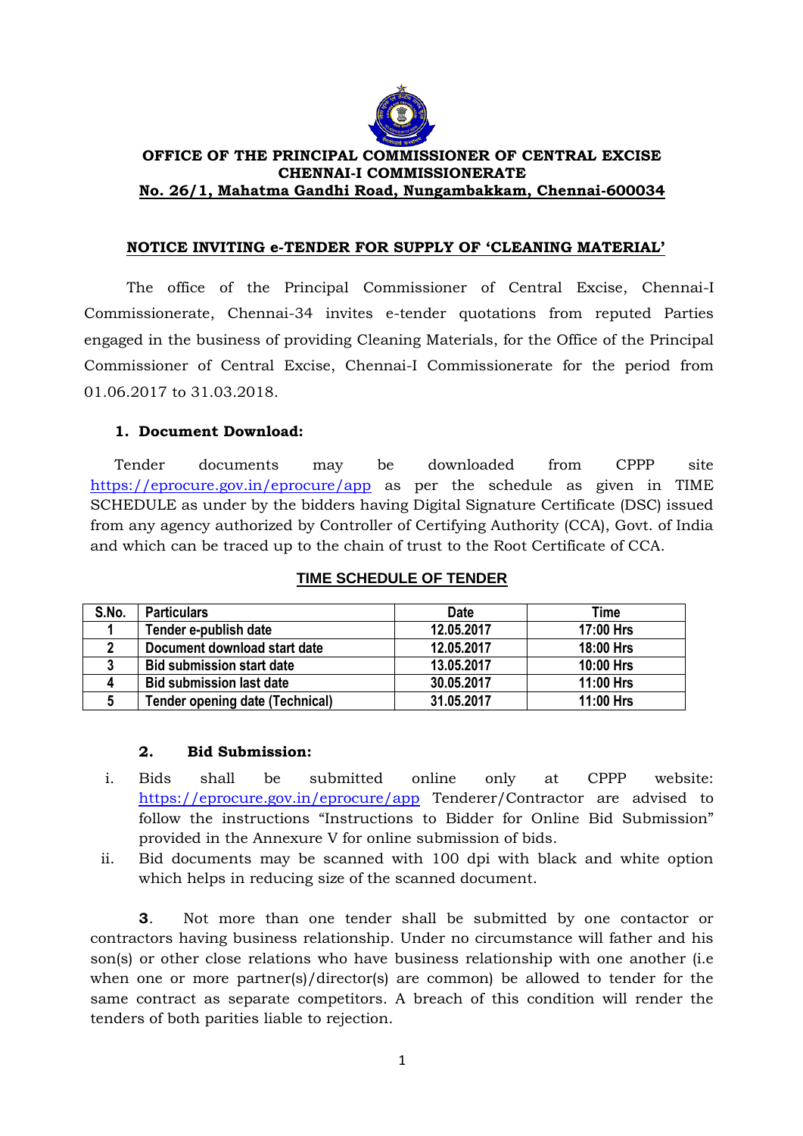

### **OFFICE OF THE PRINCIPAL COMMISSIONER OF CENTRAL EXCISE CHENNAI-I COMMISSIONERATE No. 26/1, Mahatma Gandhi Road, Nungambakkam, Chennai-600034**

### **NOTICE INVITING e-TENDER FOR SUPPLY OF "CLEANING MATERIAL"**

The office of the Principal Commissioner of Central Excise, Chennai-I Commissionerate, Chennai-34 invites e-tender quotations from reputed Parties engaged in the business of providing Cleaning Materials, for the Office of the Principal Commissioner of Central Excise, Chennai-I Commissionerate for the period from 01.06.2017 to 31.03.2018.

# **1. Document Download:**

Tender documents may be downloaded from CPPP site https://eprocure.gov.in/eprocure/app as per the schedule as given in TIME SCHEDULE as under by the bidders having Digital Signature Certificate (DSC) issued from any agency authorized by Controller of Certifying Authority (CCA), Govt. of India and which can be traced up to the chain of trust to the Root Certificate of CCA.

| S.No. | <b>Particulars</b>                     | <b>Date</b> | Time      |
|-------|----------------------------------------|-------------|-----------|
|       | Tender e-publish date                  | 12.05.2017  | 17:00 Hrs |
|       | Document download start date           | 12.05.2017  | 18:00 Hrs |
|       | <b>Bid submission start date</b>       | 13.05.2017  | 10:00 Hrs |
|       | <b>Bid submission last date</b>        | 30.05.2017  | 11:00 Hrs |
|       | <b>Tender opening date (Technical)</b> | 31.05.2017  | 11:00 Hrs |

### **TIME SCHEDULE OF TENDER**

### **2. Bid Submission:**

- i. Bids shall be submitted online only at CPPP website: https://eprocure.gov.in/eprocure/app Tenderer/Contractor are advised to follow the instructions "Instructions to Bidder for Online Bid Submission" provided in the Annexure V for online submission of bids.
- ii. Bid documents may be scanned with 100 dpi with black and white option which helps in reducing size of the scanned document.

**3**. Not more than one tender shall be submitted by one contactor or contractors having business relationship. Under no circumstance will father and his son(s) or other close relations who have business relationship with one another (i.e. when one or more partner(s)/director(s) are common) be allowed to tender for the same contract as separate competitors. A breach of this condition will render the tenders of both parities liable to rejection.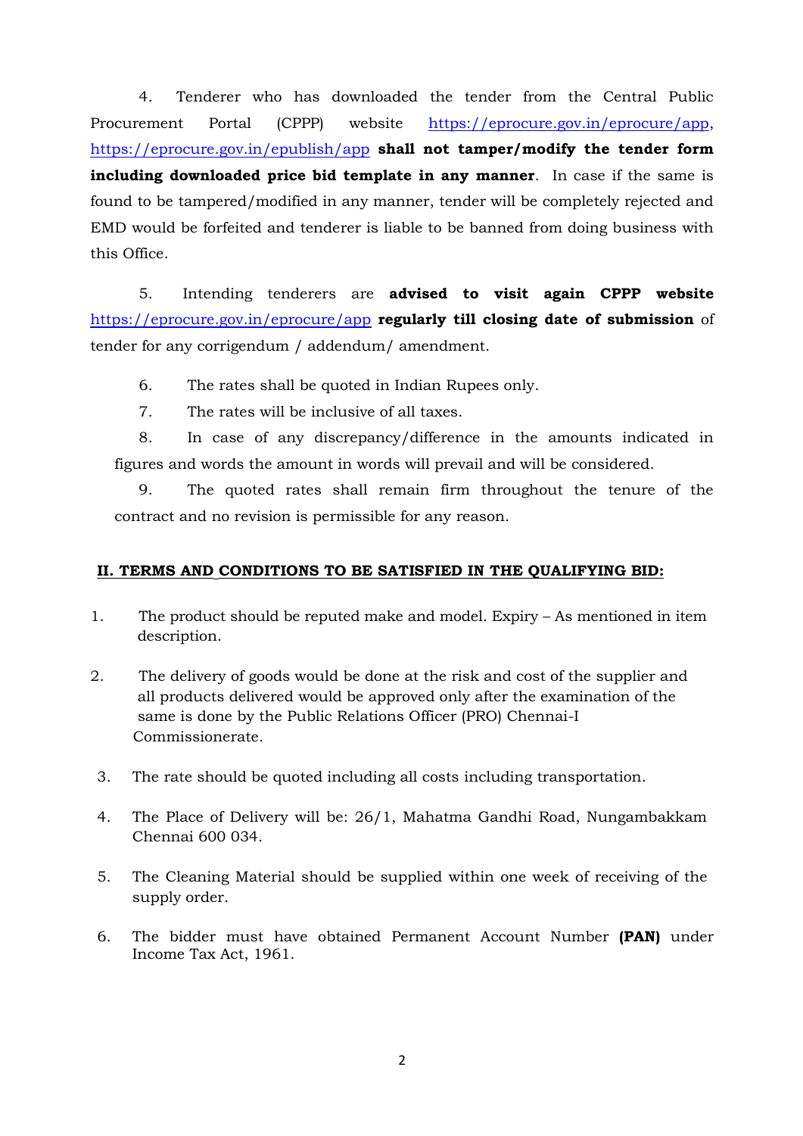4. Tenderer who has downloaded the tender from the Central Public Procurement Portal (CPPP) website https://eprocure.gov.in/eprocure/app, https://eprocure.gov.in/epublish/app **shall not tamper/modify the tender form including downloaded price bid template in any manner**. In case if the same is found to be tampered/modified in any manner, tender will be completely rejected and EMD would be forfeited and tenderer is liable to be banned from doing business with this Office.

5. Intending tenderers are **advised to visit again CPPP website** https://eprocure.gov.in/eprocure/app **regularly till closing date of submission** of tender for any corrigendum / addendum/ amendment.

6. The rates shall be quoted in Indian Rupees only.

7. The rates will be inclusive of all taxes.

8. In case of any discrepancy/difference in the amounts indicated in figures and words the amount in words will prevail and will be considered.

9. The quoted rates shall remain firm throughout the tenure of the contract and no revision is permissible for any reason.

### **II. TERMS AND CONDITIONS TO BE SATISFIED IN THE QUALIFYING BID:**

- 1. The product should be reputed make and model. Expiry As mentioned in item description.
- 2. The delivery of goods would be done at the risk and cost of the supplier and all products delivered would be approved only after the examination of the same is done by the Public Relations Officer (PRO) Chennai-I Commissionerate.
- 3. The rate should be quoted including all costs including transportation.
- 4. The Place of Delivery will be: 26/1, Mahatma Gandhi Road, Nungambakkam Chennai 600 034.
- 5. The Cleaning Material should be supplied within one week of receiving of the supply order.
- 6. The bidder must have obtained Permanent Account Number **(PAN)** under Income Tax Act, 1961.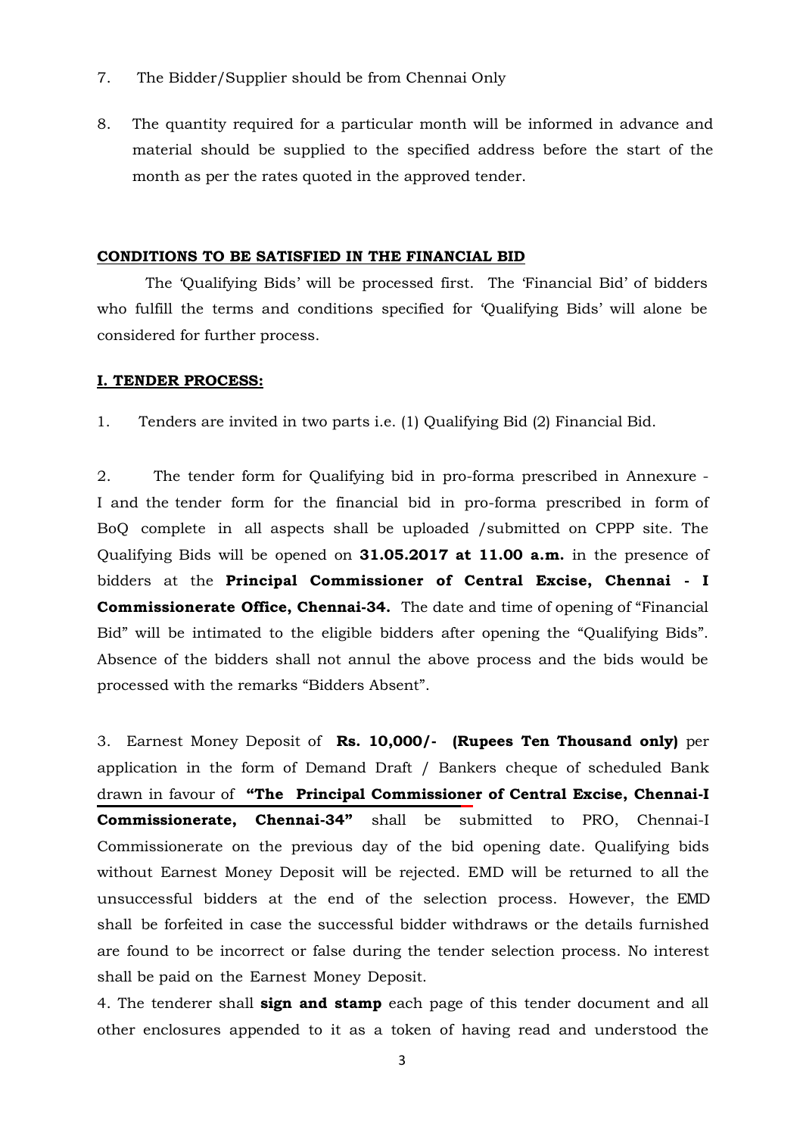- 7. The Bidder/Supplier should be from Chennai Only
- 8. The quantity required for a particular month will be informed in advance and material should be supplied to the specified address before the start of the month as per the rates quoted in the approved tender.

#### **CONDITIONS TO BE SATISFIED IN THE FINANCIAL BID**

The "Qualifying Bids" will be processed first. The "Financial Bid" of bidders who fulfill the terms and conditions specified for 'Qualifying Bids' will alone be considered for further process.

#### **I. TENDER PROCESS:**

1. Tenders are invited in two parts i.e. (1) Qualifying Bid (2) Financial Bid.

2. The tender form for Qualifying bid in pro-forma prescribed in Annexure - I and the tender form for the financial bid in pro-forma prescribed in form of BoQ complete in all aspects shall be uploaded /submitted on CPPP site. The Qualifying Bids will be opened on **31.05.2017 at 11.00 a.m.** in the presence of bidders at the **Principal Commissioner of Central Excise, Chennai - I Commissionerate Office, Chennai-34.** The date and time of opening of "Financial Bid" will be intimated to the eligible bidders after opening the "Qualifying Bids". Absence of the bidders shall not annul the above process and the bids would be processed with the remarks "Bidders Absent".

3. Earnest Money Deposit of **Rs. 10,000/- (Rupees Ten Thousand only)** per application in the form of Demand Draft / Bankers cheque of scheduled Bank drawn in favour of **"The Principal Commissioner of Central Excise, Chennai-I Commissionerate, Chennai-34"** shall be submitted to PRO, Chennai-I Commissionerate on the previous day of the bid opening date. Qualifying bids without Earnest Money Deposit will be rejected. EMD will be returned to all the unsuccessful bidders at the end of the selection process. However, the EMD shall be forfeited in case the successful bidder withdraws or the details furnished are found to be incorrect or false during the tender selection process. No interest shall be paid on the Earnest Money Deposit.

4. The tenderer shall **sign and stamp** each page of this tender document and all other enclosures appended to it as a token of having read and understood the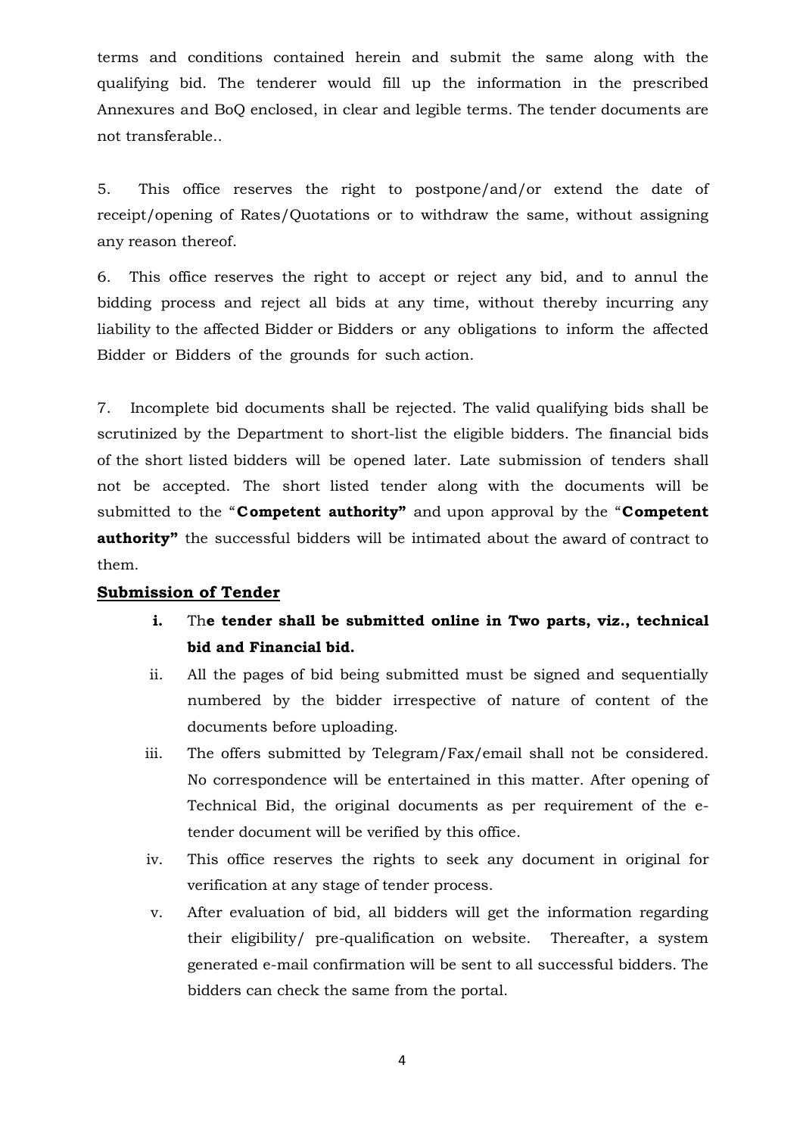terms and conditions contained herein and submit the same along with the qualifying bid. The tenderer would fill up the information in the prescribed Annexures and BoQ enclosed, in clear and legible terms. The tender documents are not transferable..

5. This office reserves the right to postpone/and/or extend the date of receipt/opening of Rates/Quotations or to withdraw the same, without assigning any reason thereof.

6. This office reserves the right to accept or reject any bid, and to annul the bidding process and reject all bids at any time, without thereby incurring any liability to the affected Bidder or Bidders or any obligations to inform the affected Bidder or Bidders of the grounds for such action.

7. Incomplete bid documents shall be rejected. The valid qualifying bids shall be scrutinized by the Department to short-list the eligible bidders. The financial bids of the short listed bidders will be opened later. Late submission of tenders shall not be accepted. The short listed tender along with the documents will be submitted to the "**Competent authority"** and upon approval by the "**Competent authority**" the successful bidders will be intimated about the award of contract to them.

### **Submission of Tender**

- **i.** Th**e tender shall be submitted online in Two parts, viz., technical bid and Financial bid.**
- ii. All the pages of bid being submitted must be signed and sequentially numbered by the bidder irrespective of nature of content of the documents before uploading.
- iii. The offers submitted by Telegram/Fax/email shall not be considered. No correspondence will be entertained in this matter. After opening of Technical Bid, the original documents as per requirement of the etender document will be verified by this office.
- iv. This office reserves the rights to seek any document in original for verification at any stage of tender process.
- v. After evaluation of bid, all bidders will get the information regarding their eligibility/ pre-qualification on website. Thereafter, a system generated e-mail confirmation will be sent to all successful bidders. The bidders can check the same from the portal.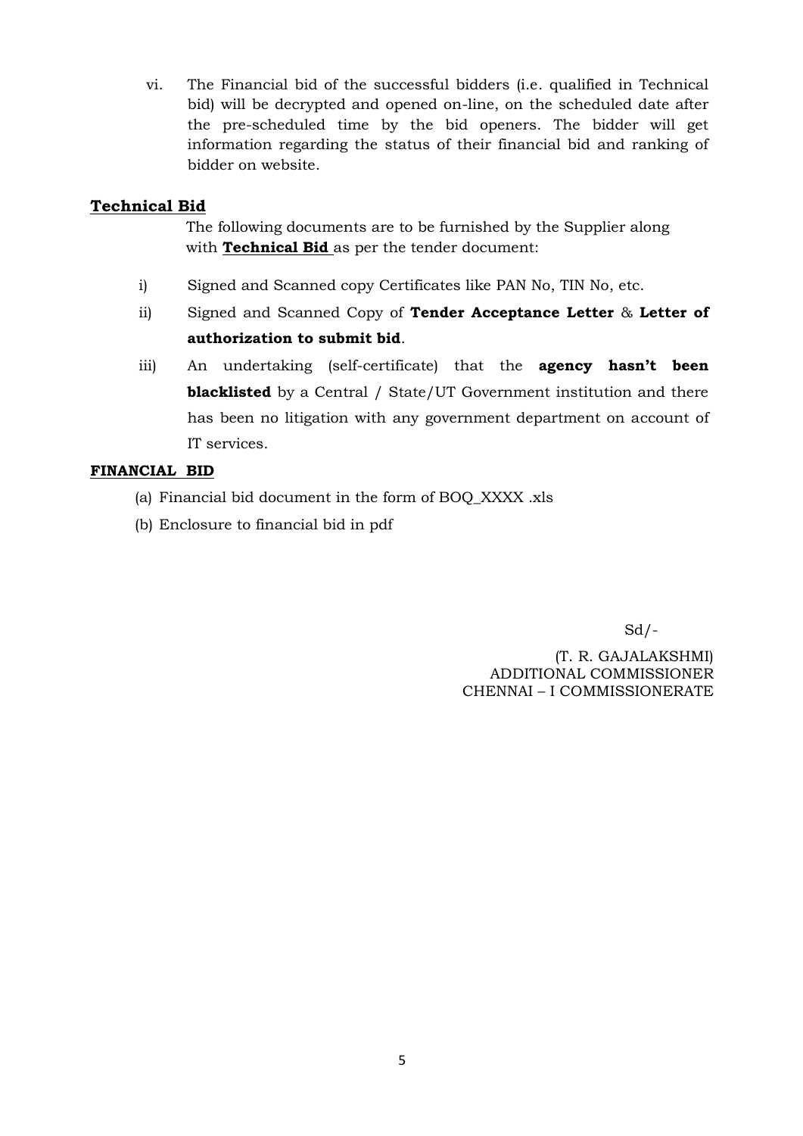vi. The Financial bid of the successful bidders (i.e. qualified in Technical bid) will be decrypted and opened on-line, on the scheduled date after the pre-scheduled time by the bid openers. The bidder will get information regarding the status of their financial bid and ranking of bidder on website.

# **Technical Bid**

 The following documents are to be furnished by the Supplier along with **Technical Bid** as per the tender document:

- i) Signed and Scanned copy Certificates like PAN No, TIN No, etc.
- ii) Signed and Scanned Copy of **Tender Acceptance Letter** & **Letter of authorization to submit bid**.
- iii) An undertaking (self-certificate) that the **agency hasn"t been blacklisted** by a Central / State/UT Government institution and there has been no litigation with any government department on account of IT services.

# **FINANCIAL BID**

- (a) Financial bid document in the form of BOQ\_XXXX .xls
- (b) Enclosure to financial bid in pdf

 $Sd$  /-

 (T. R. GAJALAKSHMI) ADDITIONAL COMMISSIONER CHENNAI – I COMMISSIONERATE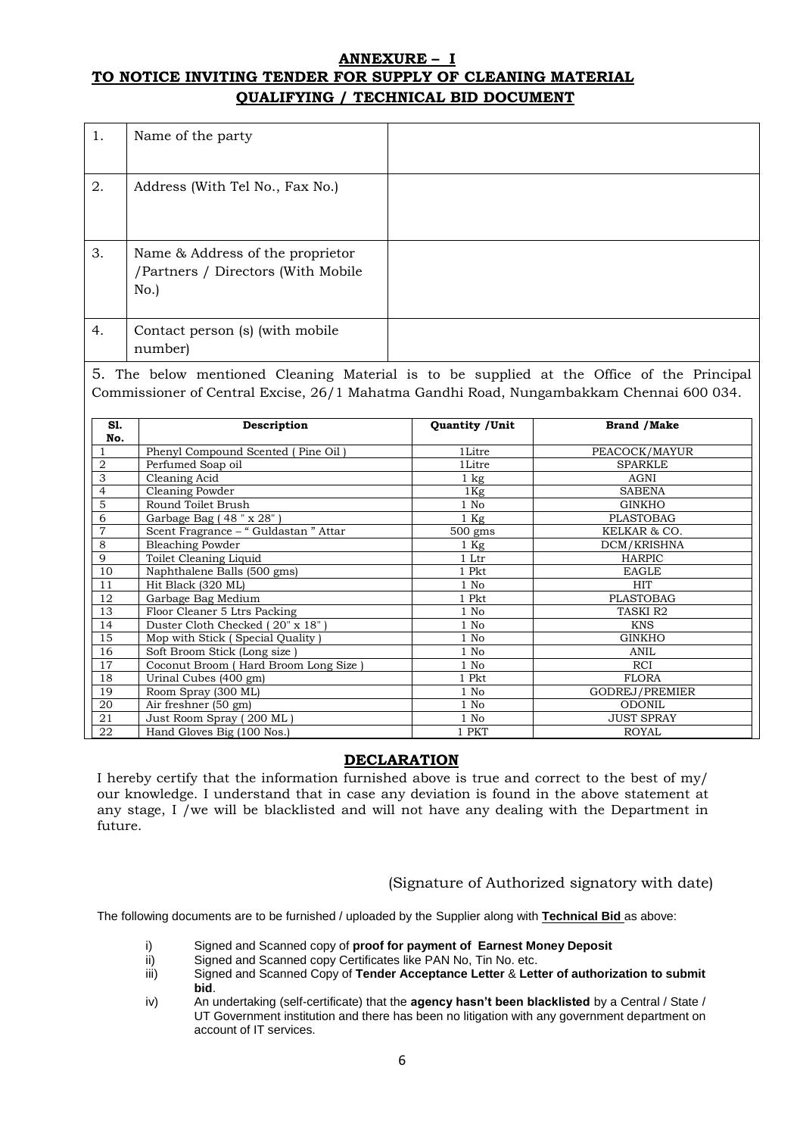#### **ANNEXURE – I TO NOTICE INVITING TENDER FOR SUPPLY OF CLEANING MATERIAL QUALIFYING / TECHNICAL BID DOCUMENT**

| 1. | Name of the party                                                             |  |
|----|-------------------------------------------------------------------------------|--|
| 2. | Address (With Tel No., Fax No.)                                               |  |
| 3. | Name & Address of the proprietor<br>/Partners / Directors (With Mobile<br>No. |  |
| 4. | Contact person (s) (with mobile<br>number)                                    |  |

5. The below mentioned Cleaning Material is to be supplied at the Office of the Principal Commissioner of Central Excise, 26/1 Mahatma Gandhi Road, Nungambakkam Chennai 600 034.

| S1.            | Description                          | Quantity / Unit  | <b>Brand / Make</b>   |
|----------------|--------------------------------------|------------------|-----------------------|
| No.            |                                      |                  |                       |
|                | Phenyl Compound Scented (Pine Oil)   | 1Litre           | PEACOCK/MAYUR         |
| $\overline{2}$ | Perfumed Soap oil                    | 1Litre           | <b>SPARKLE</b>        |
| 3              | Cleaning Acid                        | $1 \text{ kg}$   | AGNI                  |
| $\overline{4}$ | Cleaning Powder                      | $1\,\mathrm{Kg}$ | <b>SABENA</b>         |
| 5              | Round Toilet Brush                   | 1 No             | <b>GINKHO</b>         |
| 6              | Garbage Bag (48" x 28")              | $1$ Kg           | PLASTOBAG             |
| 7              | Scent Fragrance - "Guldastan " Attar | $500$ gms        | KELKAR & CO.          |
| 8              | <b>Bleaching Powder</b>              | $1$ Kg           | DCM/KRISHNA           |
| 9              | Toilet Cleaning Liquid               | 1 Ltr            | <b>HARPIC</b>         |
| 10             | Naphthalene Balls (500 gms)          | 1 Pkt            | <b>EAGLE</b>          |
| 11             | Hit Black (320 ML)                   | 1 No             | <b>HIT</b>            |
| 12             | Garbage Bag Medium                   | 1 Pkt            | PLASTOBAG             |
| 13             | Floor Cleaner 5 Ltrs Packing         | 1 No             | TASKI R2              |
| 14             | Duster Cloth Checked (20" x 18")     | $1$ No           | <b>KNS</b>            |
| 15             | Mop with Stick (Special Quality)     | 1 No             | <b>GINKHO</b>         |
| 16             | Soft Broom Stick (Long size)         | $1$ No           | ANIL                  |
| 17             | Coconut Broom (Hard Broom Long Size) | $1$ No           | <b>RCI</b>            |
| 18             | Urinal Cubes (400 gm)                | 1 Pkt            | <b>FLORA</b>          |
| 19             | Room Spray (300 ML)                  | $1$ No           | <b>GODREJ/PREMIER</b> |
| 20             | Air freshner (50 gm)                 | $1$ No           | <b>ODONIL</b>         |
| 21             | Just Room Spray (200 ML)             | 1 No             | <b>JUST SPRAY</b>     |
| 22             | Hand Gloves Big (100 Nos.)           | 1 PKT            | <b>ROYAL</b>          |

### **DECLARATION**

I hereby certify that the information furnished above is true and correct to the best of my/ our knowledge. I understand that in case any deviation is found in the above statement at any stage, I /we will be blacklisted and will not have any dealing with the Department in future.

(Signature of Authorized signatory with date)

The following documents are to be furnished / uploaded by the Supplier along with **Technical Bid** as above:

- i) Signed and Scanned copy of **proof for payment of Earnest Money Deposit**
- Signed and Scanned copy Certificates like PAN No, Tin No. etc.
- iii) Signed and Scanned Copy of **Tender Acceptance Letter** & **Letter of authorization to submit bid**.
- iv) An undertaking (self-certificate) that the **agency hasn't been blacklisted** by a Central / State / UT Government institution and there has been no litigation with any government department on account of IT services.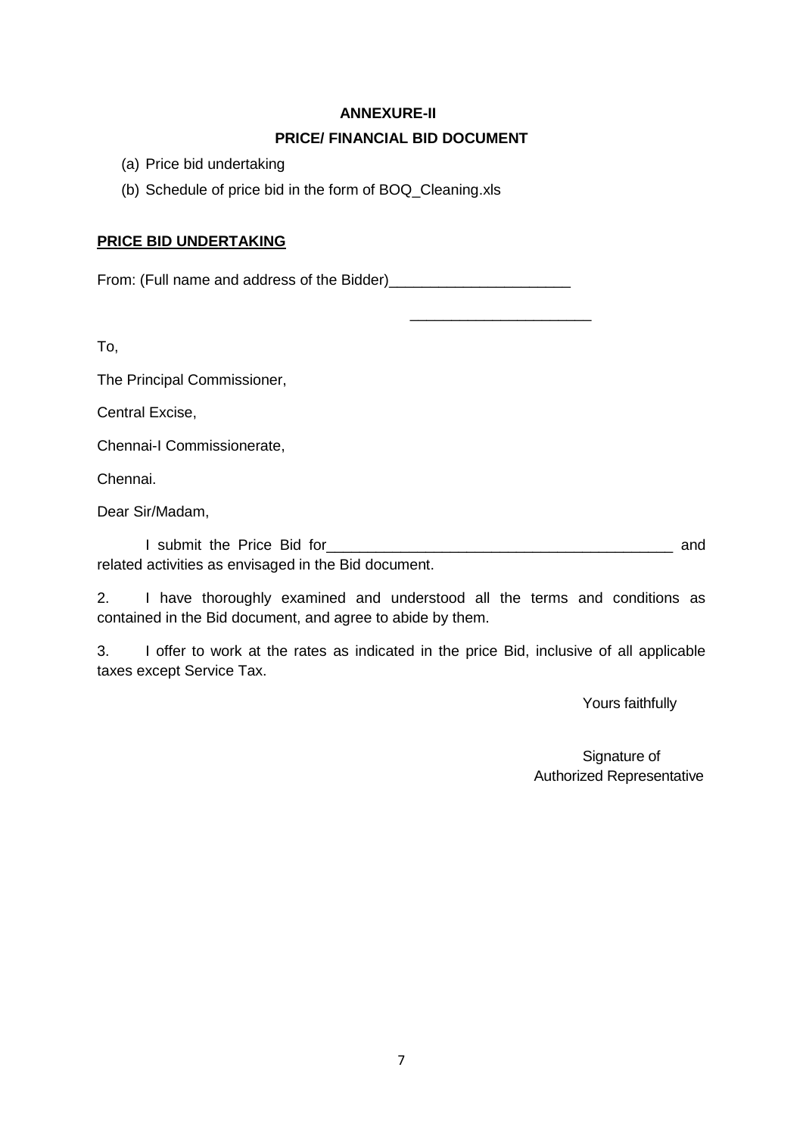### **ANNEXURE-II**

# **PRICE/ FINANCIAL BID DOCUMENT**

 $\frac{1}{2}$  ,  $\frac{1}{2}$  ,  $\frac{1}{2}$  ,  $\frac{1}{2}$  ,  $\frac{1}{2}$  ,  $\frac{1}{2}$  ,  $\frac{1}{2}$  ,  $\frac{1}{2}$  ,  $\frac{1}{2}$  ,  $\frac{1}{2}$  ,  $\frac{1}{2}$  ,  $\frac{1}{2}$  ,  $\frac{1}{2}$  ,  $\frac{1}{2}$  ,  $\frac{1}{2}$  ,  $\frac{1}{2}$  ,  $\frac{1}{2}$  ,  $\frac{1}{2}$  ,  $\frac{1$ 

- (a) Price bid undertaking
- (b) Schedule of price bid in the form of BOQ\_Cleaning.xls

# **PRICE BID UNDERTAKING**

From: (Full name and address of the Bidder)\_\_\_\_\_\_\_\_\_\_\_\_\_\_\_\_\_\_\_\_\_\_

To,

The Principal Commissioner,

Central Excise,

Chennai-I Commissionerate,

Chennai.

Dear Sir/Madam,

I submit the Price Bid for\_\_\_\_\_\_\_\_\_\_\_\_\_\_\_\_\_\_\_\_\_\_\_\_\_\_\_\_\_\_\_\_\_\_\_\_\_\_\_\_\_\_ and related activities as envisaged in the Bid document.

2. I have thoroughly examined and understood all the terms and conditions as contained in the Bid document, and agree to abide by them.

3. I offer to work at the rates as indicated in the price Bid, inclusive of all applicable taxes except Service Tax.

Yours faithfully

Signature of Authorized Representative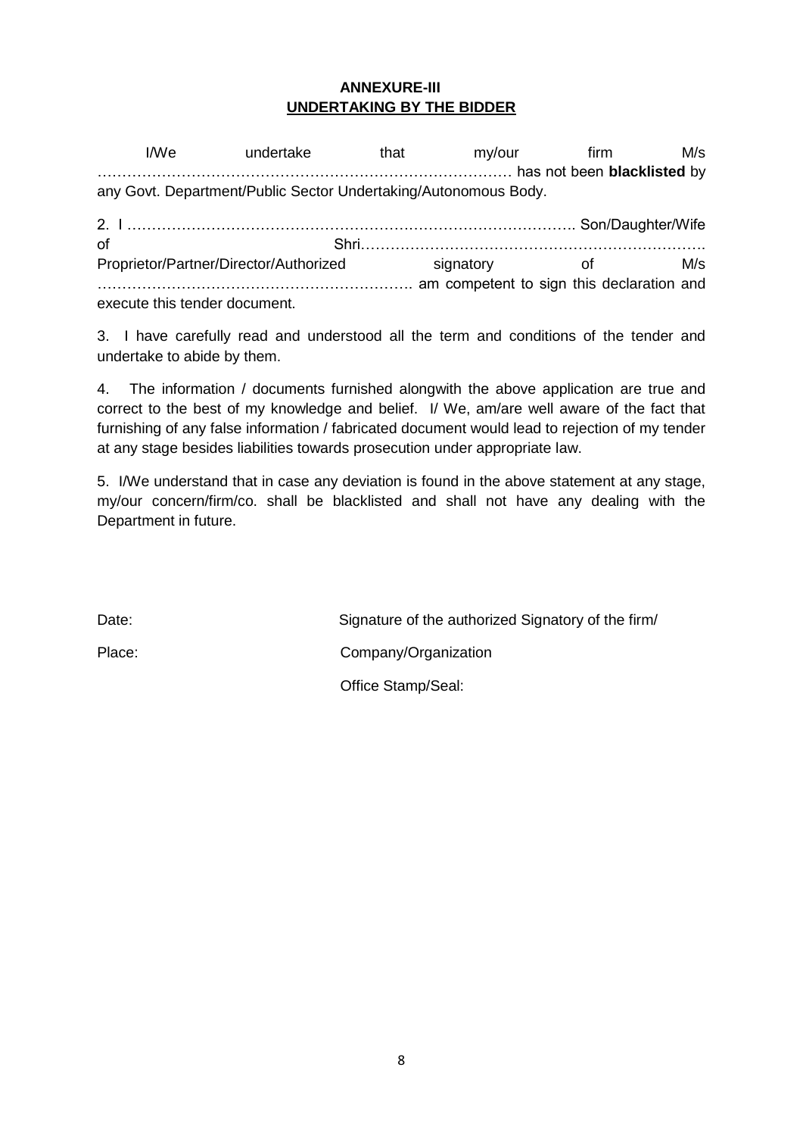# **ANNEXURE-III UNDERTAKING BY THE BIDDER**

I/We undertake that my/our firm M/s ………………………………………………………………………… has not been **blacklisted** by any Govt. Department/Public Sector Undertaking/Autonomous Body. 2. I ………………………………………………………………………………. Son/Daughter/Wife of Shri……………………………………………………………. Proprietor/Partner/Director/Authorized signatory of M/s ………………………………………………………. am competent to sign this declaration and execute this tender document.

3. I have carefully read and understood all the term and conditions of the tender and undertake to abide by them.

4. The information / documents furnished alongwith the above application are true and correct to the best of my knowledge and belief. I/ We, am/are well aware of the fact that furnishing of any false information / fabricated document would lead to rejection of my tender at any stage besides liabilities towards prosecution under appropriate law.

5. I/We understand that in case any deviation is found in the above statement at any stage, my/our concern/firm/co. shall be blacklisted and shall not have any dealing with the Department in future.

Date: Date: Signature of the authorized Signatory of the firm/ Place: Company/Organization Office Stamp/Seal: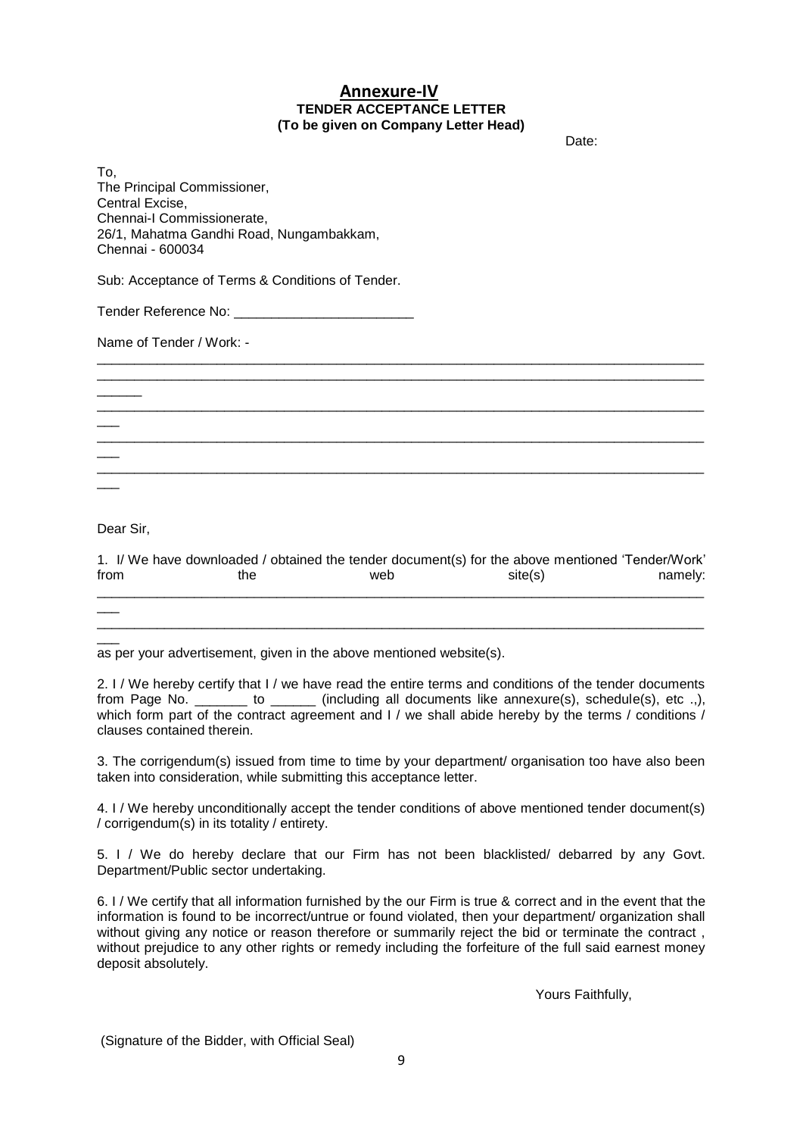#### **Annexure-IV TENDER ACCEPTANCE LETTER (To be given on Company Letter Head)**

discussion of the contract of the contract of the contract of the contract of the contract of the contract of the contract of the contract of the contract of the contract of the contract of the contract of the contract of

To, The Principal Commissioner, Central Excise, Chennai-I Commissionerate, 26/1, Mahatma Gandhi Road, Nungambakkam, Chennai - 600034

Sub: Acceptance of Terms & Conditions of Tender.

Tender Reference No: \_\_\_\_\_\_\_\_\_\_\_\_\_\_\_\_\_\_\_\_\_\_\_\_

Name of Tender / Work: -

Dear Sir,

 $\overline{\phantom{a}}$ 

 $\overline{\phantom{a}}$ 

 $\overline{\phantom{a}}$ 

 $\overline{\phantom{a}}$ 

 $\overline{\phantom{a}}$ 

|      | 1. I/ We have downloaded / obtained the tender document(s) for the above mentioned 'Tender/Work' |     |         |         |
|------|--------------------------------------------------------------------------------------------------|-----|---------|---------|
| from | the                                                                                              | web | site(s) | namely: |
|      |                                                                                                  |     |         |         |

\_\_\_\_\_\_\_\_\_\_\_\_\_\_\_\_\_\_\_\_\_\_\_\_\_\_\_\_\_\_\_\_\_\_\_\_\_\_\_\_\_\_\_\_\_\_\_\_\_\_\_\_\_\_\_\_\_\_\_\_\_\_\_\_\_\_\_\_\_\_\_\_\_\_\_\_\_\_\_\_\_

\_\_\_\_\_\_\_\_\_\_\_\_\_\_\_\_\_\_\_\_\_\_\_\_\_\_\_\_\_\_\_\_\_\_\_\_\_\_\_\_\_\_\_\_\_\_\_\_\_\_\_\_\_\_\_\_\_\_\_\_\_\_\_\_\_\_\_\_\_\_\_\_\_\_\_\_\_\_\_\_\_ \_\_\_\_\_\_\_\_\_\_\_\_\_\_\_\_\_\_\_\_\_\_\_\_\_\_\_\_\_\_\_\_\_\_\_\_\_\_\_\_\_\_\_\_\_\_\_\_\_\_\_\_\_\_\_\_\_\_\_\_\_\_\_\_\_\_\_\_\_\_\_\_\_\_\_\_\_\_\_\_\_

\_\_\_\_\_\_\_\_\_\_\_\_\_\_\_\_\_\_\_\_\_\_\_\_\_\_\_\_\_\_\_\_\_\_\_\_\_\_\_\_\_\_\_\_\_\_\_\_\_\_\_\_\_\_\_\_\_\_\_\_\_\_\_\_\_\_\_\_\_\_\_\_\_\_\_\_\_\_\_\_\_

\_\_\_\_\_\_\_\_\_\_\_\_\_\_\_\_\_\_\_\_\_\_\_\_\_\_\_\_\_\_\_\_\_\_\_\_\_\_\_\_\_\_\_\_\_\_\_\_\_\_\_\_\_\_\_\_\_\_\_\_\_\_\_\_\_\_\_\_\_\_\_\_\_\_\_\_\_\_\_\_\_

\_\_\_\_\_\_\_\_\_\_\_\_\_\_\_\_\_\_\_\_\_\_\_\_\_\_\_\_\_\_\_\_\_\_\_\_\_\_\_\_\_\_\_\_\_\_\_\_\_\_\_\_\_\_\_\_\_\_\_\_\_\_\_\_\_\_\_\_\_\_\_\_\_\_\_\_\_\_\_\_\_

 $\overline{\phantom{a}}$ as per your advertisement, given in the above mentioned website(s).

2. I / We hereby certify that I / we have read the entire terms and conditions of the tender documents from Page No. \_\_\_\_\_\_\_ to \_\_\_\_\_\_ (including all documents like annexure(s), schedule(s), etc .,), which form part of the contract agreement and I / we shall abide hereby by the terms / conditions / clauses contained therein.

3. The corrigendum(s) issued from time to time by your department/ organisation too have also been taken into consideration, while submitting this acceptance letter.

4. I / We hereby unconditionally accept the tender conditions of above mentioned tender document(s) / corrigendum(s) in its totality / entirety.

5. I / We do hereby declare that our Firm has not been blacklisted/ debarred by any Govt. Department/Public sector undertaking.

6. I / We certify that all information furnished by the our Firm is true & correct and in the event that the information is found to be incorrect/untrue or found violated, then your department/ organization shall without giving any notice or reason therefore or summarily reject the bid or terminate the contract, without prejudice to any other rights or remedy including the forfeiture of the full said earnest money deposit absolutely.

Yours Faithfully,

(Signature of the Bidder, with Official Seal)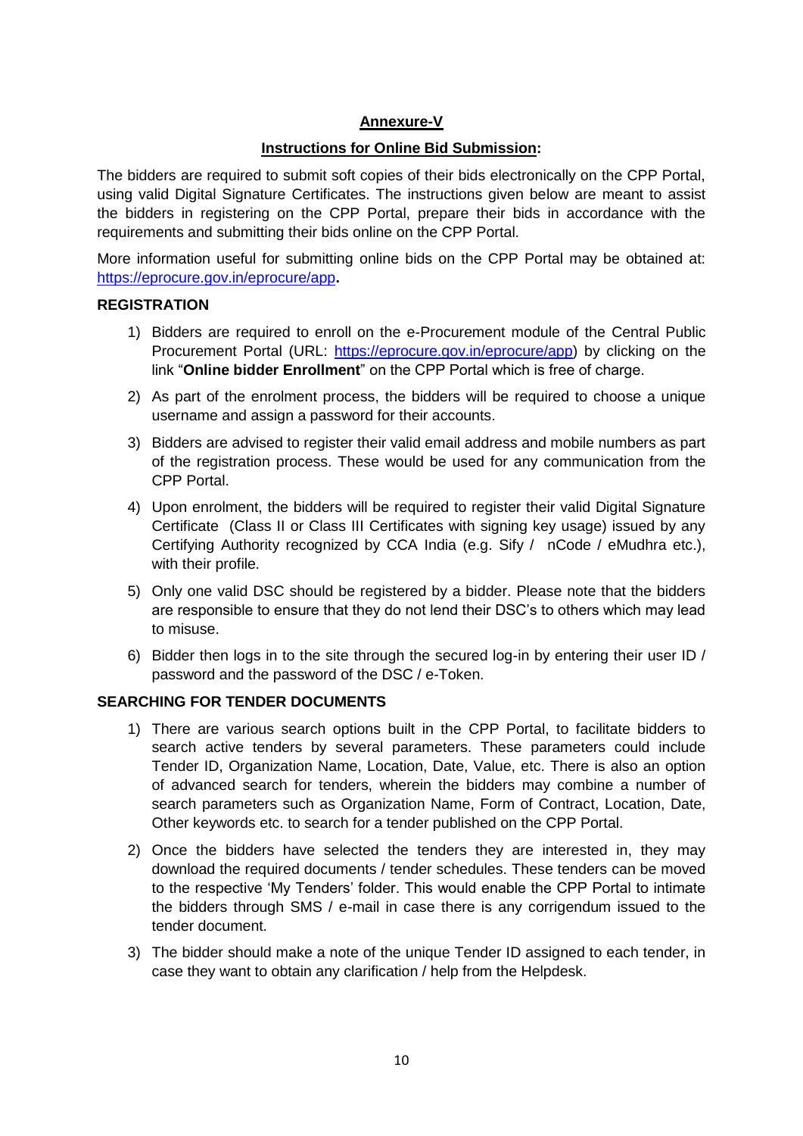# **Annexure-V**

# **Instructions for Online Bid Submission:**

The bidders are required to submit soft copies of their bids electronically on the CPP Portal, using valid Digital Signature Certificates. The instructions given below are meant to assist the bidders in registering on the CPP Portal, prepare their bids in accordance with the requirements and submitting their bids online on the CPP Portal.

More information useful for submitting online bids on the CPP Portal may be obtained at: https://eprocure.gov.in/eprocure/app**.**

#### **REGISTRATION**

- 1) Bidders are required to enroll on the e-Procurement module of the Central Public Procurement Portal (URL: https://eprocure.gov.in/eprocure/app) by clicking on the link "**Online bidder Enrollment**" on the CPP Portal which is free of charge.
- 2) As part of the enrolment process, the bidders will be required to choose a unique username and assign a password for their accounts.
- 3) Bidders are advised to register their valid email address and mobile numbers as part of the registration process. These would be used for any communication from the CPP Portal.
- 4) Upon enrolment, the bidders will be required to register their valid Digital Signature Certificate (Class II or Class III Certificates with signing key usage) issued by any Certifying Authority recognized by CCA India (e.g. Sify / nCode / eMudhra etc.), with their profile.
- 5) Only one valid DSC should be registered by a bidder. Please note that the bidders are responsible to ensure that they do not lend their DSC"s to others which may lead to misuse.
- 6) Bidder then logs in to the site through the secured log-in by entering their user ID / password and the password of the DSC / e-Token.

### **SEARCHING FOR TENDER DOCUMENTS**

- 1) There are various search options built in the CPP Portal, to facilitate bidders to search active tenders by several parameters. These parameters could include Tender ID, Organization Name, Location, Date, Value, etc. There is also an option of advanced search for tenders, wherein the bidders may combine a number of search parameters such as Organization Name, Form of Contract, Location, Date, Other keywords etc. to search for a tender published on the CPP Portal.
- 2) Once the bidders have selected the tenders they are interested in, they may download the required documents / tender schedules. These tenders can be moved to the respective "My Tenders" folder. This would enable the CPP Portal to intimate the bidders through SMS / e-mail in case there is any corrigendum issued to the tender document.
- 3) The bidder should make a note of the unique Tender ID assigned to each tender, in case they want to obtain any clarification / help from the Helpdesk.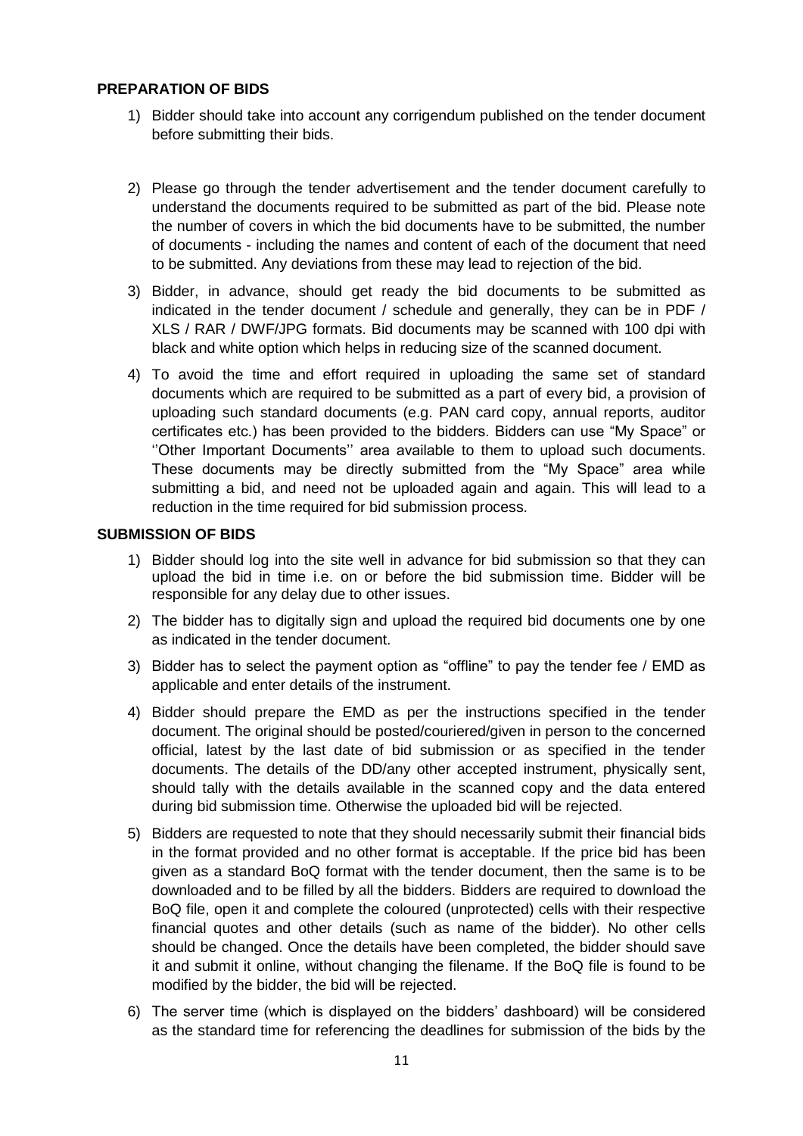### **PREPARATION OF BIDS**

- 1) Bidder should take into account any corrigendum published on the tender document before submitting their bids.
- 2) Please go through the tender advertisement and the tender document carefully to understand the documents required to be submitted as part of the bid. Please note the number of covers in which the bid documents have to be submitted, the number of documents - including the names and content of each of the document that need to be submitted. Any deviations from these may lead to rejection of the bid.
- 3) Bidder, in advance, should get ready the bid documents to be submitted as indicated in the tender document / schedule and generally, they can be in PDF / XLS / RAR / DWF/JPG formats. Bid documents may be scanned with 100 dpi with black and white option which helps in reducing size of the scanned document.
- 4) To avoid the time and effort required in uploading the same set of standard documents which are required to be submitted as a part of every bid, a provision of uploading such standard documents (e.g. PAN card copy, annual reports, auditor certificates etc.) has been provided to the bidders. Bidders can use "My Space" or "Other Important Documents" area available to them to upload such documents. These documents may be directly submitted from the "My Space" area while submitting a bid, and need not be uploaded again and again. This will lead to a reduction in the time required for bid submission process.

#### **SUBMISSION OF BIDS**

- 1) Bidder should log into the site well in advance for bid submission so that they can upload the bid in time i.e. on or before the bid submission time. Bidder will be responsible for any delay due to other issues.
- 2) The bidder has to digitally sign and upload the required bid documents one by one as indicated in the tender document.
- 3) Bidder has to select the payment option as "offline" to pay the tender fee / EMD as applicable and enter details of the instrument.
- 4) Bidder should prepare the EMD as per the instructions specified in the tender document. The original should be posted/couriered/given in person to the concerned official, latest by the last date of bid submission or as specified in the tender documents. The details of the DD/any other accepted instrument, physically sent, should tally with the details available in the scanned copy and the data entered during bid submission time. Otherwise the uploaded bid will be rejected.
- 5) Bidders are requested to note that they should necessarily submit their financial bids in the format provided and no other format is acceptable. If the price bid has been given as a standard BoQ format with the tender document, then the same is to be downloaded and to be filled by all the bidders. Bidders are required to download the BoQ file, open it and complete the coloured (unprotected) cells with their respective financial quotes and other details (such as name of the bidder). No other cells should be changed. Once the details have been completed, the bidder should save it and submit it online, without changing the filename. If the BoQ file is found to be modified by the bidder, the bid will be rejected.
- 6) The server time (which is displayed on the bidders" dashboard) will be considered as the standard time for referencing the deadlines for submission of the bids by the